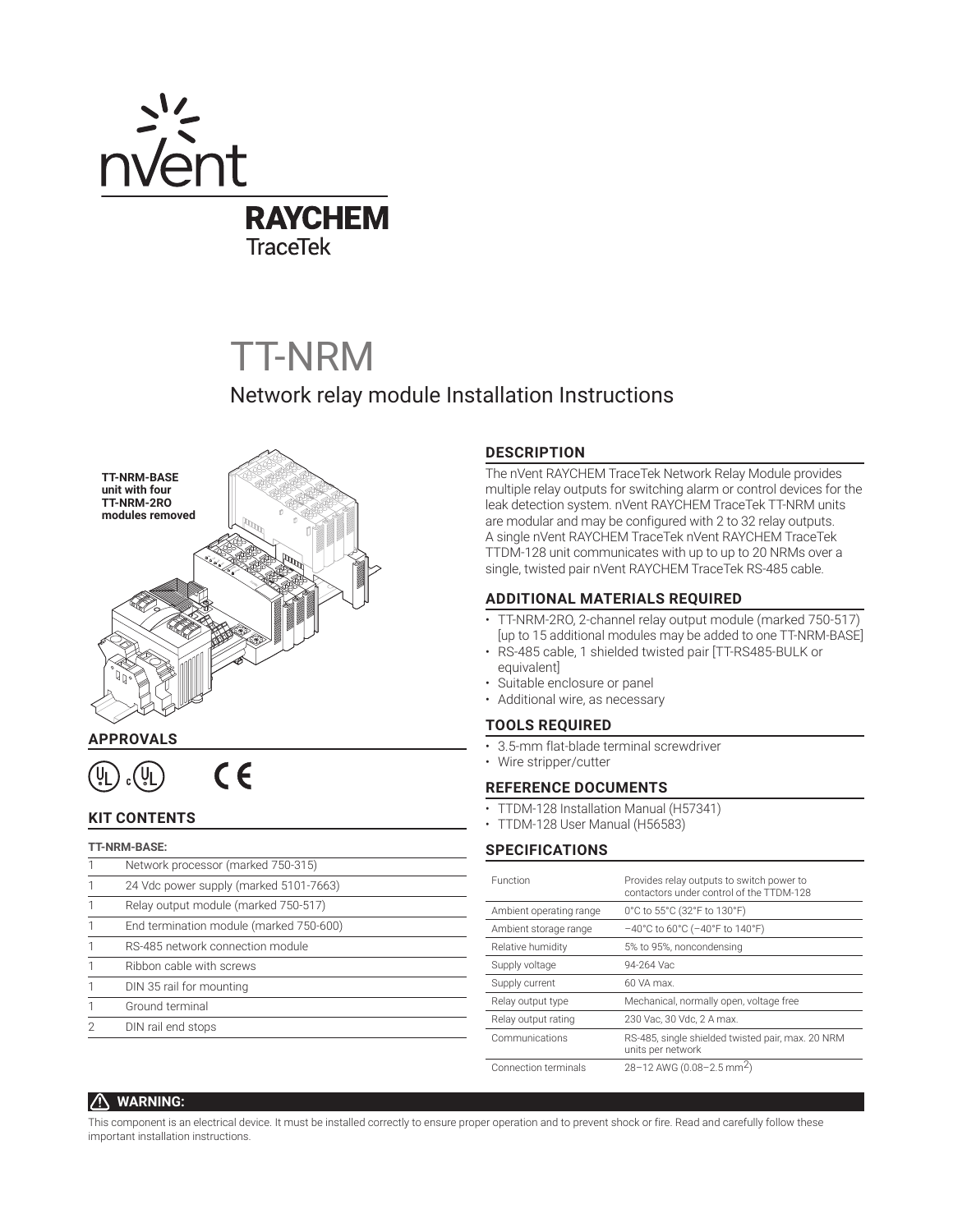

# TT-NRM

## Network relay module Installation Instructions



## **APPROVALS**

 $C \in$ ั⊍\_

## **KIT CONTENTS**

| <b>TT-NRM-BASE:</b> |                                         |  |
|---------------------|-----------------------------------------|--|
|                     | Network processor (marked 750-315)      |  |
|                     | 24 Vdc power supply (marked 5101-7663)  |  |
|                     | Relay output module (marked 750-517)    |  |
|                     | End termination module (marked 750-600) |  |
|                     | RS-485 network connection module        |  |
|                     | Ribbon cable with screws                |  |
|                     | DIN 35 rail for mounting                |  |
|                     | Ground terminal                         |  |
|                     | DIN rail end stops                      |  |
|                     |                                         |  |

## **DESCRIPTION**

The nVent RAYCHEM TraceTek Network Relay Module provides multiple relay outputs for switching alarm or control devices for the leak detection system. nVent RAYCHEM TraceTek TT-NRM units are modular and may be configured with 2 to 32 relay outputs. A single nVent RAYCHEM TraceTek nVent RAYCHEM TraceTek TTDM-128 unit communicates with up to up to 20 NRMs over a single, twisted pair nVent RAYCHEM TraceTek RS-485 cable.

## **ADDITIONAL MATERIALS REQUIRED**

- TT-NRM-2RO, 2-channel relay output module (marked 750-517) [up to 15 additional modules may be added to one TT-NRM-BASE]
- RS-485 cable, 1 shielded twisted pair [TT-RS485-BULK or equivalent]
- Suitable enclosure or panel
- Additional wire, as necessary

## **TOOLS REQUIRED**

- 3.5-mm flat-blade terminal screwdriver
- Wire stripper/cutter

## **REFERENCE DOCUMENTS**

- TTDM-128 Installation Manual (H57341)
- TTDM-128 User Manual (H56583)

## **SPECIFICATIONS**

| Function                | Provides relay outputs to switch power to<br>contactors under control of the TTDM-128 |
|-------------------------|---------------------------------------------------------------------------------------|
| Ambient operating range | 0°C to 55°C (32°F to 130°F)                                                           |
| Ambient storage range   | $-40^{\circ}$ C to 60°C (-40°F to 140°F)                                              |
| Relative humidity       | 5% to 95%, noncondensing                                                              |
| Supply voltage          | 94-264 Vac                                                                            |
| Supply current          | 60 VA max.                                                                            |
| Relay output type       | Mechanical, normally open, voltage free                                               |
| Relay output rating     | 230 Vac, 30 Vdc, 2 A max.                                                             |
| Communications          | RS-485, single shielded twisted pair, max. 20 NRM<br>units per network                |
| Connection terminals    | 28-12 AWG (0.08-2.5 mm <sup>2</sup> )                                                 |

## **WARNING:**

This component is an electrical device. It must be installed correctly to ensure proper operation and to prevent shock or fire. Read and carefully follow these important installation instructions.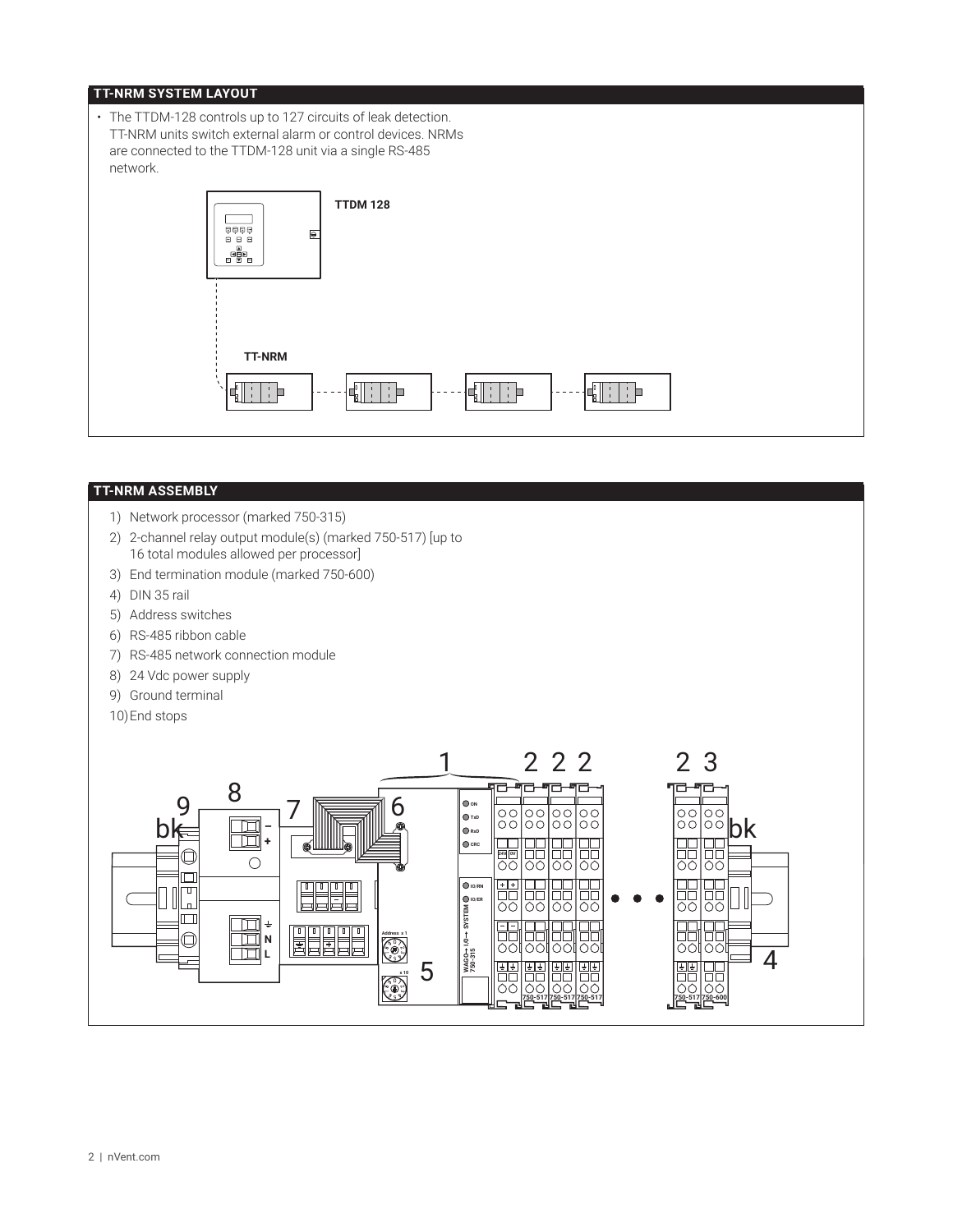## **TT-NRM SYSTEM LAYOUT**

• The TTDM-128 controls up to 127 circuits of leak detection. TT-NRM units switch external alarm or control devices. NRMs are connected to the TTDM-128 unit via a single RS-485 network.**TTDM 128** e e e<br>Bêdê  $\Theta$ **TT-NRM**  $\begin{array}{c} \begin{array}{|c|c|c|} \hline \hline \hline \hline \hline \hline \hline \end{array} \end{array}$ E B  $\frac{1}{1}$ 计目

#### **TT-NRM ASSEMBLY**

- 1) Network processor (marked 750-315)
- 2) 2-channel relay output module(s) (marked 750-517) [up to 16 total modules allowed per processor]
- 3) End termination module (marked 750-600)
- 4) DIN 35 rail
- 5) Address switches
- 6) RS-485 ribbon cable
- 7) RS-485 network connection module
- 8) 24 Vdc power supply
- 9) Ground terminal
- 10)End stops

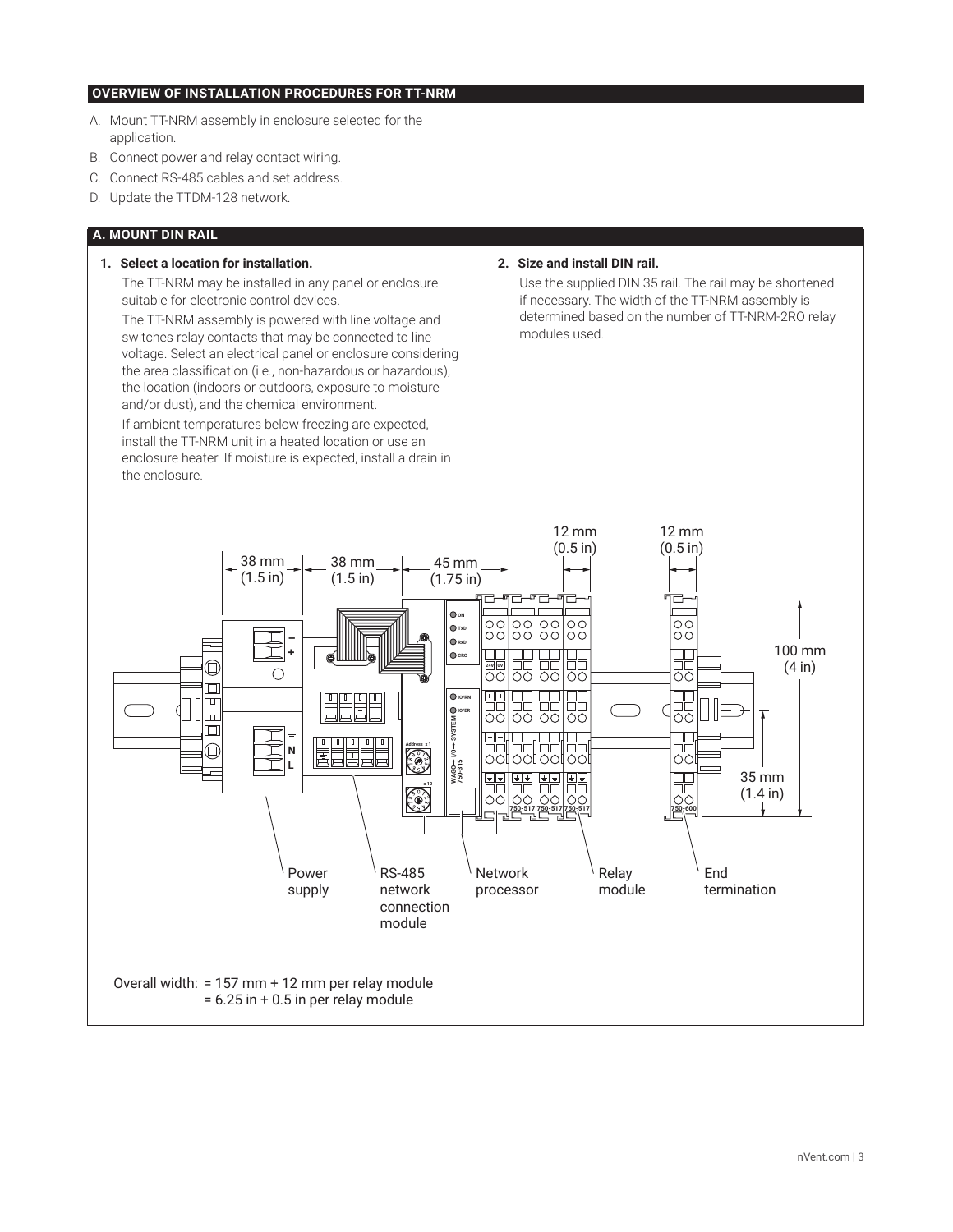## **OVERVIEW OF INSTALLATION PROCEDURES FOR TT-NRM**

- A. Mount TT-NRM assembly in enclosure selected for the application.
- B. Connect power and relay contact wiring.
- C. Connect RS-485 cables and set address.
- D. Update the TTDM-128 network.

#### **A. MOUNT DIN RAIL**

#### **1. Select a location for installation.**

The TT-NRM may be installed in any panel or enclosure suitable for electronic control devices.

The TT-NRM assembly is powered with line voltage and switches relay contacts that may be connected to line voltage. Select an electrical panel or enclosure considering the area classification (i.e., non-hazardous or hazardous), the location (indoors or outdoors, exposure to moisture and/or dust), and the chemical environment.

If ambient temperatures below freezing are expected, install the TT-NRM unit in a heated location or use an enclosure heater. If moisture is expected, install a drain in the enclosure.

#### **2. Size and install DIN rail.**

Use the supplied DIN 35 rail. The rail may be shortened if necessary. The width of the TT-NRM assembly is determined based on the number of TT-NRM-2RO relay modules used.

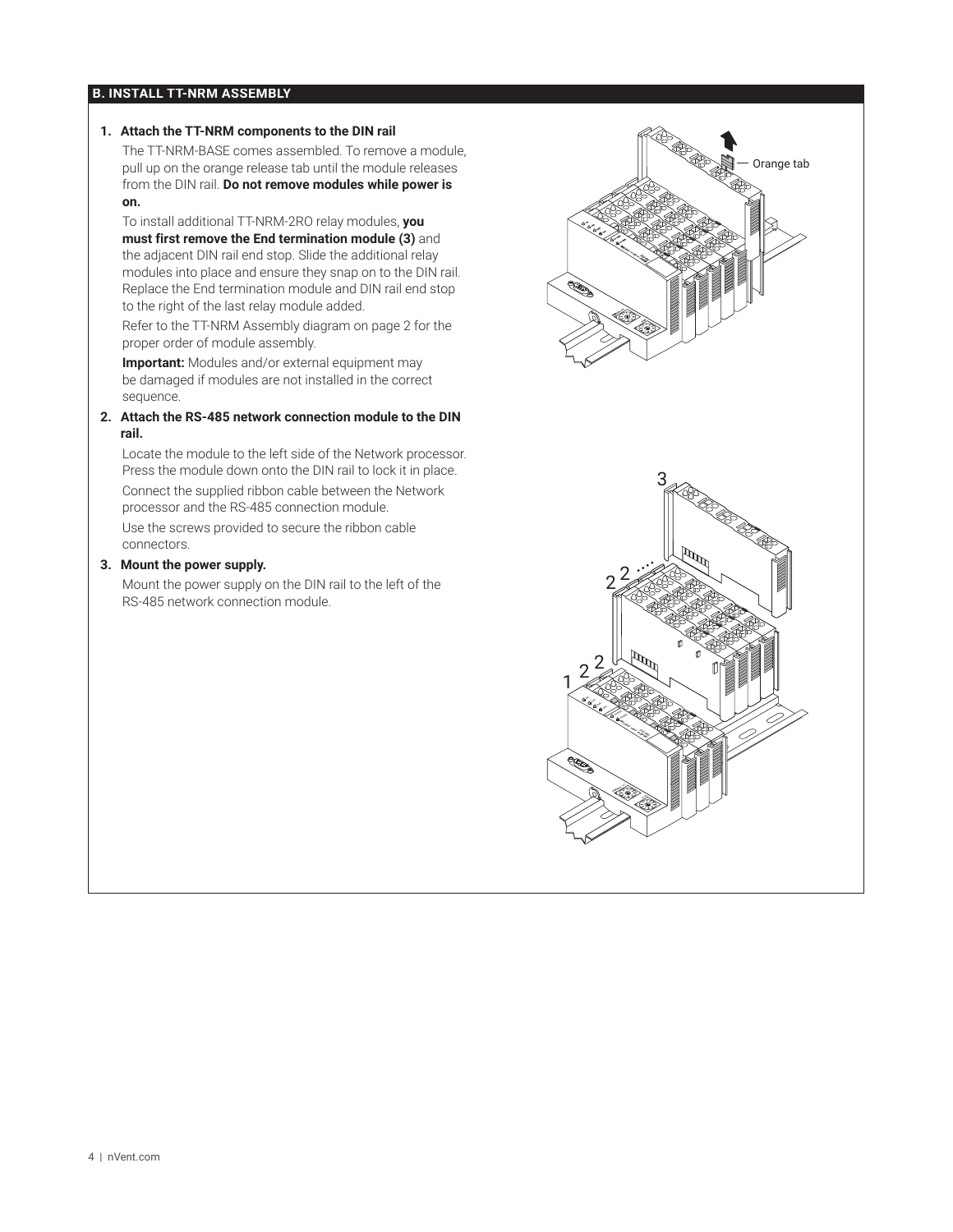#### **B. INSTALL TT-NRM ASSEMBLY**

#### **1. Attach the TT-NRM components to the DIN rail**

The TT-NRM-BASE comes assembled. To remove a module, pull up on the orange release tab until the module releases from the DIN rail. **Do not remove modules while power is on.**

To install additional TT-NRM-2RO relay modules, **you must first remove the End termination module (3)** and the adjacent DIN rail end stop. Slide the additional relay modules into place and ensure they snap on to the DIN rail. Replace the End termination module and DIN rail end stop to the right of the last relay module added.

Refer to the TT-NRM Assembly diagram on page 2 for the proper order of module assembly.

**Important:** Modules and/or external equipment may be damaged if modules are not installed in the correct sequence.

#### **2. Attach the RS-485 network connection module to the DIN rail.**

Locate the module to the left side of the Network processor. Press the module down onto the DIN rail to lock it in place. Connect the supplied ribbon cable between the Network

processor and the RS-485 connection module. Use the screws provided to secure the ribbon cable connectors.

#### **3. Mount the power supply.**

Mount the power supply on the DIN rail to the left of the RS-485 network connection module.

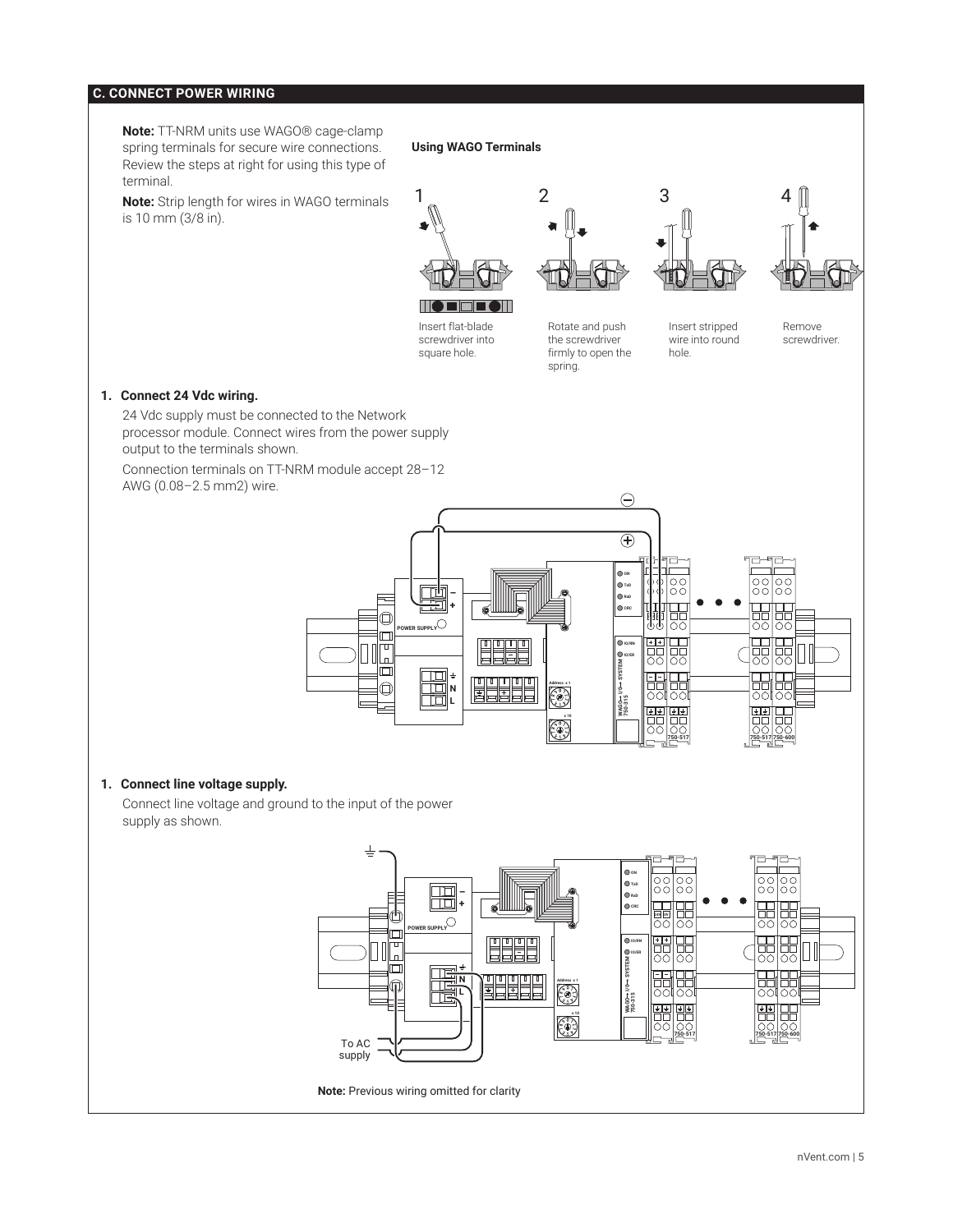## **C. CONNECT POWER WIRING**

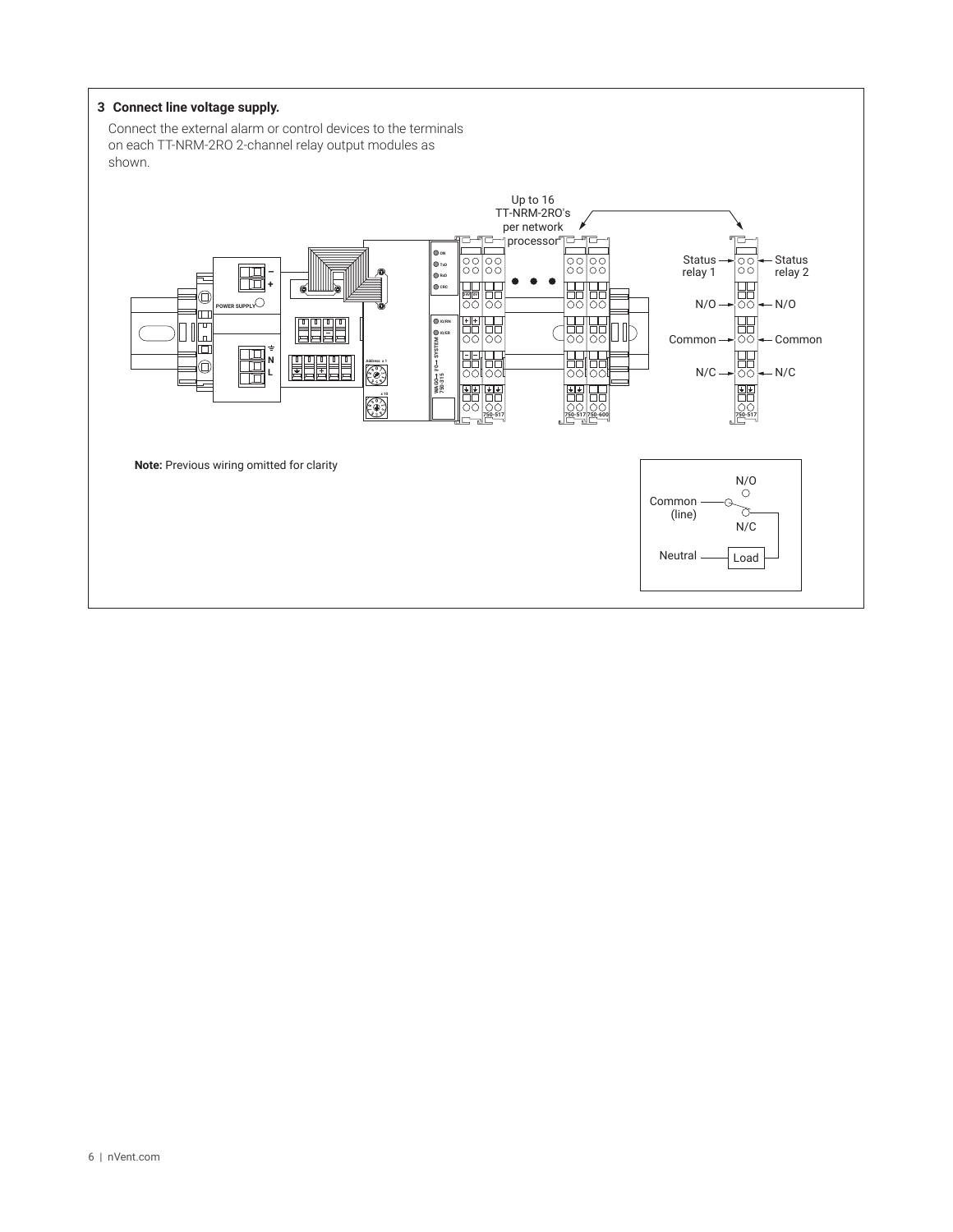#### **3 Connect line voltage supply.**

Connect the external alarm or control devices to the terminals on each TT-NRM-2RO 2-channel relay output modules as shown.

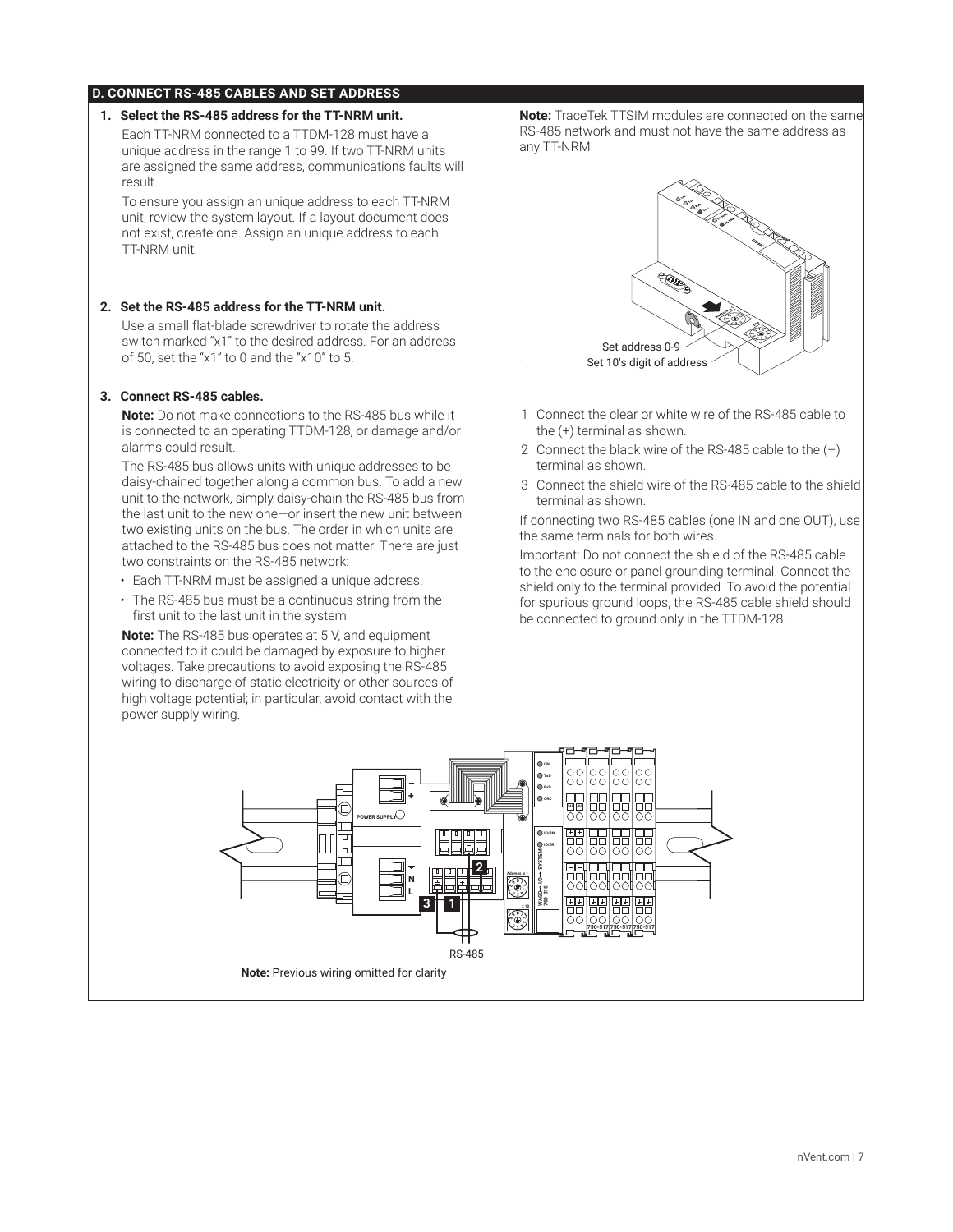#### **D. CONNECT RS-485 CABLES AND SET ADDRESS**

#### **1. Select the RS-485 address for the TT-NRM unit.**

Each TT-NRM connected to a TTDM-128 must have a unique address in the range 1 to 99. If two TT-NRM units are assigned the same address, communications faults will result.

To ensure you assign an unique address to each TT-NRM unit, review the system layout. If a layout document does not exist, create one. Assign an unique address to each TT-NRM unit.

#### **2. Set the RS-485 address for the TT-NRM unit.**

Use a small flat-blade screwdriver to rotate the address switch marked "x1" to the desired address. For an address of 50, set the "x1" to 0 and the "x10" to 5.

#### **3. Connect RS-485 cables.**

**Note:** Do not make connections to the RS-485 bus while it is connected to an operating TTDM-128, or damage and/or alarms could result.

The RS-485 bus allows units with unique addresses to be daisy-chained together along a common bus. To add a new unit to the network, simply daisy-chain the RS-485 bus from the last unit to the new one—or insert the new unit between two existing units on the bus. The order in which units are attached to the RS-485 bus does not matter. There are just two constraints on the RS-485 network:

- Each TT-NRM must be assigned a unique address.
- The RS-485 bus must be a continuous string from the first unit to the last unit in the system.

**Note:** The RS-485 bus operates at 5 V, and equipment connected to it could be damaged by exposure to higher voltages. Take precautions to avoid exposing the RS-485 wiring to discharge of static electricity or other sources of high voltage potential; in particular, avoid contact with the power supply wiring.

**Note:** TraceTek TTSIM modules are connected on the same RS-485 network and must not have the same address as any TT-NRM



- 1 Connect the clear or white wire of the RS-485 cable to the (+) terminal as shown.
- 2 Connect the black wire of the RS-485 cable to the  $(-)$ terminal as shown.
- 3 Connect the shield wire of the RS-485 cable to the shield terminal as shown.

If connecting two RS-485 cables (one IN and one OUT), use the same terminals for both wires.

Important: Do not connect the shield of the RS-485 cable to the enclosure or panel grounding terminal. Connect the shield only to the terminal provided. To avoid the potential for spurious ground loops, the RS-485 cable shield should be connected to ground only in the TTDM-128.